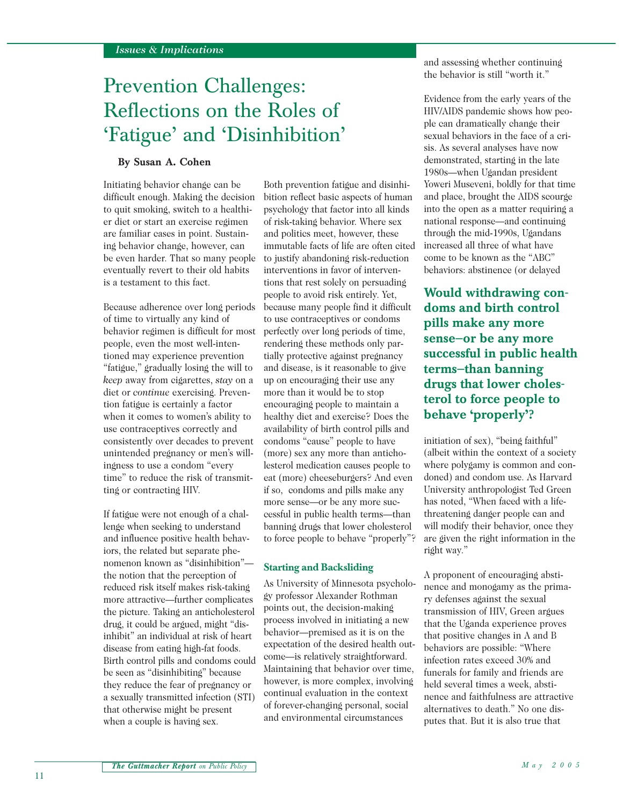# Prevention Challenges: Reflections on the Roles of 'Fatigue' and 'Disinhibition'

### **By Susan A. Cohen**

Initiating behavior change can be difficult enough. Making the decision to quit smoking, switch to a healthier diet or start an exercise regimen are familiar cases in point. Sustaining behavior change, however, can be even harder. That so many people eventually revert to their old habits is a testament to this fact.

Because adherence over long periods of time to virtually any kind of behavior regimen is difficult for most people, even the most well-intentioned may experience prevention "fatigue," gradually losing the will to *keep* away from cigarettes, *stay* on a diet or *continue* exercising. Prevention fatigue is certainly a factor when it comes to women's ability to use contraceptives correctly and consistently over decades to prevent unintended pregnancy or men's willingness to use a condom "every time" to reduce the risk of transmitting or contracting HIV.

If fatigue were not enough of a challenge when seeking to understand and influence positive health behaviors, the related but separate phenomenon known as "disinhibition" the notion that the perception of reduced risk itself makes risk-taking more attractive—further complicates the picture. Taking an anticholesterol drug, it could be argued, might "disinhibit" an individual at risk of heart disease from eating high-fat foods. Birth control pills and condoms could be seen as "disinhibiting" because they reduce the fear of pregnancy or a sexually transmitted infection (STI) that otherwise might be present when a couple is having sex.

Both prevention fatigue and disinhibition reflect basic aspects of human psychology that factor into all kinds of risk-taking behavior. Where sex and politics meet, however, these immutable facts of life are often cited to justify abandoning risk-reduction interventions in favor of interventions that rest solely on persuading people to avoid risk entirely. Yet, because many people find it difficult to use contraceptives or condoms perfectly over long periods of time, rendering these methods only partially protective against pregnancy and disease, is it reasonable to give up on encouraging their use any more than it would be to stop encouraging people to maintain a healthy diet and exercise? Does the availability of birth control pills and condoms "cause" people to have (more) sex any more than anticholesterol medication causes people to eat (more) cheeseburgers? And even if so, condoms and pills make any more sense—or be any more successful in public health terms—than banning drugs that lower cholesterol to force people to behave "properly"?

#### **Starting and Backsliding**

As University of Minnesota psychology professor Alexander Rothman points out, the decision-making process involved in initiating a new behavior—premised as it is on the expectation of the desired health outcome—is relatively straightforward. Maintaining that behavior over time, however, is more complex, involving continual evaluation in the context of forever-changing personal, social and environmental circumstances

and assessing whether continuing the behavior is still "worth it."

Evidence from the early years of the HIV/AIDS pandemic shows how people can dramatically change their sexual behaviors in the face of a crisis. As several analyses have now demonstrated, starting in the late 1980s—when Ugandan president Yoweri Museveni, boldly for that time and place, brought the AIDS scourge into the open as a matter requiring a national response—and continuing through the mid-1990s, Ugandans increased all three of what have come to be known as the "ABC" behaviors: abstinence (or delayed

**Would withdrawing condoms and birth control pills make any more sense—or be any more successful in public health terms—than banning drugs that lower cholesterol to force people to behave 'properly'?**

initiation of sex), "being faithful" (albeit within the context of a society where polygamy is common and condoned) and condom use. As Harvard University anthropologist Ted Green has noted, "When faced with a lifethreatening danger people can and will modify their behavior, once they are given the right information in the right way."

A proponent of encouraging abstinence and monogamy as the primary defenses against the sexual transmission of HIV, Green argues that the Uganda experience proves that positive changes in A and B behaviors are possible: "Where infection rates exceed 30% and funerals for family and friends are held several times a week, abstinence and faithfulness are attractive alternatives to death." No one disputes that. But it is also true that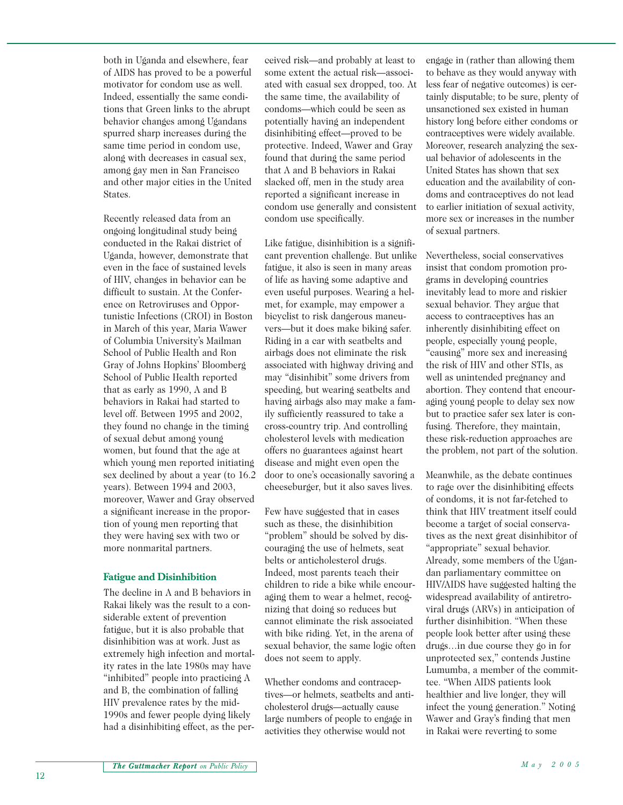both in Uganda and elsewhere, fear of AIDS has proved to be a powerful motivator for condom use as well. Indeed, essentially the same conditions that Green links to the abrupt behavior changes among Ugandans spurred sharp increases during the same time period in condom use, along with decreases in casual sex, among gay men in San Francisco and other major cities in the United **States**.

Recently released data from an ongoing longitudinal study being conducted in the Rakai district of Uganda, however, demonstrate that even in the face of sustained levels of HIV, changes in behavior can be difficult to sustain. At the Conference on Retroviruses and Opportunistic Infections (CROI) in Boston in March of this year, Maria Wawer of Columbia University's Mailman School of Public Health and Ron Gray of Johns Hopkins' Bloomberg School of Public Health reported that as early as 1990, A and B behaviors in Rakai had started to level off. Between 1995 and 2002, they found no change in the timing of sexual debut among young women, but found that the age at which young men reported initiating sex declined by about a year (to 16.2 years). Between 1994 and 2003, moreover, Wawer and Gray observed a significant increase in the proportion of young men reporting that they were having sex with two or more nonmarital partners.

#### **Fatigue and Disinhibition**

The decline in A and B behaviors in Rakai likely was the result to a considerable extent of prevention fatigue, but it is also probable that disinhibition was at work. Just as extremely high infection and mortality rates in the late 1980s may have "inhibited" people into practicing A and B, the combination of falling HIV prevalence rates by the mid-1990s and fewer people dying likely had a disinhibiting effect, as the per-

ceived risk—and probably at least to some extent the actual risk—associated with casual sex dropped, too. At the same time, the availability of condoms—which could be seen as potentially having an independent disinhibiting effect—proved to be protective. Indeed, Wawer and Gray found that during the same period that A and B behaviors in Rakai slacked off, men in the study area reported a significant increase in condom use generally and consistent condom use specifically.

Like fatigue, disinhibition is a significant prevention challenge. But unlike fatigue, it also is seen in many areas of life as having some adaptive and even useful purposes. Wearing a helmet, for example, may empower a bicyclist to risk dangerous maneuvers—but it does make biking safer. Riding in a car with seatbelts and airbags does not eliminate the risk associated with highway driving and may "disinhibit" some drivers from speeding, but wearing seatbelts and having airbags also may make a family sufficiently reassured to take a cross-country trip. And controlling cholesterol levels with medication offers no guarantees against heart disease and might even open the door to one's occasionally savoring a cheeseburger, but it also saves lives.

Few have suggested that in cases such as these, the disinhibition "problem" should be solved by discouraging the use of helmets, seat belts or anticholesterol drugs. Indeed, most parents teach their children to ride a bike while encouraging them to wear a helmet, recognizing that doing so reduces but cannot eliminate the risk associated with bike riding. Yet, in the arena of sexual behavior, the same logic often does not seem to apply.

Whether condoms and contraceptives—or helmets, seatbelts and anticholesterol drugs—actually cause large numbers of people to engage in activities they otherwise would not

engage in (rather than allowing them to behave as they would anyway with less fear of negative outcomes) is certainly disputable; to be sure, plenty of unsanctioned sex existed in human history long before either condoms or contraceptives were widely available. Moreover, research analyzing the sexual behavior of adolescents in the United States has shown that sex education and the availability of condoms and contraceptives do not lead to earlier initiation of sexual activity, more sex or increases in the number of sexual partners.

Nevertheless, social conservatives insist that condom promotion programs in developing countries inevitably lead to more and riskier sexual behavior. They argue that access to contraceptives has an inherently disinhibiting effect on people, especially young people, "causing" more sex and increasing the risk of HIV and other STIs, as well as unintended pregnancy and abortion. They contend that encouraging young people to delay sex now but to practice safer sex later is confusing. Therefore, they maintain, these risk-reduction approaches are the problem, not part of the solution.

Meanwhile, as the debate continues to rage over the disinhibiting effects of condoms, it is not far-fetched to think that HIV treatment itself could become a target of social conservatives as the next great disinhibitor of "appropriate" sexual behavior. Already, some members of the Ugandan parliamentary committee on HIV/AIDS have suggested halting the widespread availability of antiretroviral drugs (ARVs) in anticipation of further disinhibition. "When these people look better after using these drugs…in due course they go in for unprotected sex," contends Justine Lumumba, a member of the committee. "When AIDS patients look healthier and live longer, they will infect the young generation." Noting Wawer and Gray's finding that men in Rakai were reverting to some